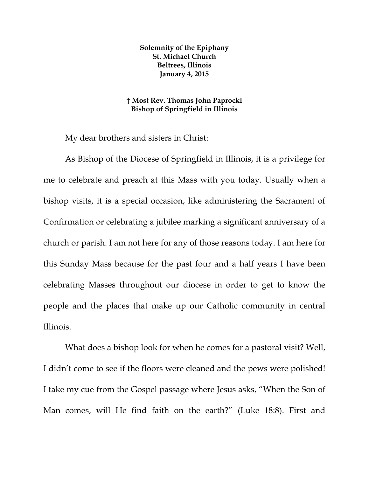**Solemnity of the Epiphany St. Michael Church Beltrees, Illinois January 4, 2015** 

## **† Most Rev. Thomas John Paprocki Bishop of Springfield in Illinois**

My dear brothers and sisters in Christ:

As Bishop of the Diocese of Springfield in Illinois, it is a privilege for me to celebrate and preach at this Mass with you today. Usually when a bishop visits, it is a special occasion, like administering the Sacrament of Confirmation or celebrating a jubilee marking a significant anniversary of a church or parish. I am not here for any of those reasons today. I am here for this Sunday Mass because for the past four and a half years I have been celebrating Masses throughout our diocese in order to get to know the people and the places that make up our Catholic community in central Illinois.

What does a bishop look for when he comes for a pastoral visit? Well, I didn't come to see if the floors were cleaned and the pews were polished! I take my cue from the Gospel passage where Jesus asks, "When the Son of Man comes, will He find faith on the earth?" (Luke 18:8). First and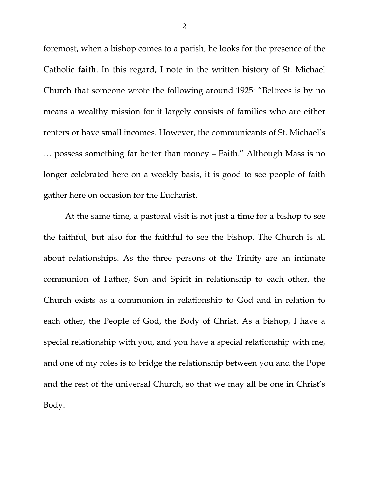foremost, when a bishop comes to a parish, he looks for the presence of the Catholic **faith**. In this regard, I note in the written history of St. Michael Church that someone wrote the following around 1925: "Beltrees is by no means a wealthy mission for it largely consists of families who are either renters or have small incomes. However, the communicants of St. Michael's … possess something far better than money – Faith." Although Mass is no longer celebrated here on a weekly basis, it is good to see people of faith gather here on occasion for the Eucharist.

At the same time, a pastoral visit is not just a time for a bishop to see the faithful, but also for the faithful to see the bishop. The Church is all about relationships. As the three persons of the Trinity are an intimate communion of Father, Son and Spirit in relationship to each other, the Church exists as a communion in relationship to God and in relation to each other, the People of God, the Body of Christ. As a bishop, I have a special relationship with you, and you have a special relationship with me, and one of my roles is to bridge the relationship between you and the Pope and the rest of the universal Church, so that we may all be one in Christ's Body.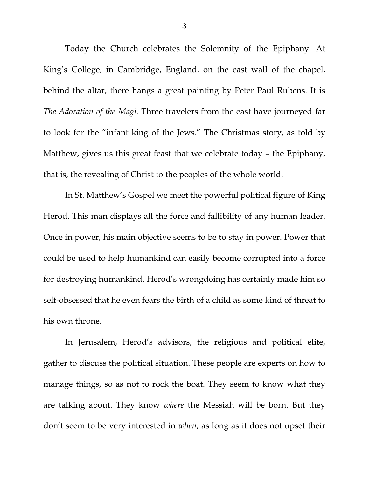Today the Church celebrates the Solemnity of the Epiphany. At King's College, in Cambridge, England, on the east wall of the chapel, behind the altar, there hangs a great painting by Peter Paul Rubens. It is *The Adoration of the Magi.* Three travelers from the east have journeyed far to look for the "infant king of the Jews." The Christmas story, as told by Matthew, gives us this great feast that we celebrate today – the Epiphany, that is, the revealing of Christ to the peoples of the whole world.

In St. Matthew's Gospel we meet the powerful political figure of King Herod. This man displays all the force and fallibility of any human leader. Once in power, his main objective seems to be to stay in power. Power that could be used to help humankind can easily become corrupted into a force for destroying humankind. Herod's wrongdoing has certainly made him so self-obsessed that he even fears the birth of a child as some kind of threat to his own throne.

In Jerusalem, Herod's advisors, the religious and political elite, gather to discuss the political situation. These people are experts on how to manage things, so as not to rock the boat. They seem to know what they are talking about. They know *where* the Messiah will be born. But they don't seem to be very interested in *when*, as long as it does not upset their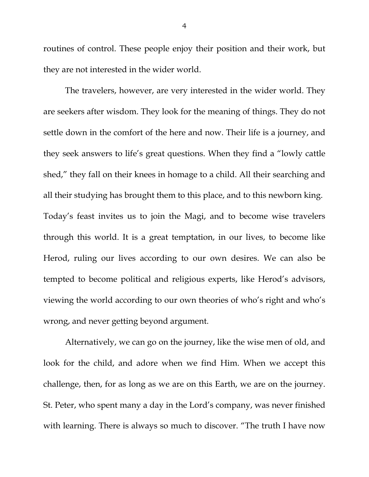routines of control. These people enjoy their position and their work, but they are not interested in the wider world.

The travelers, however, are very interested in the wider world. They are seekers after wisdom. They look for the meaning of things. They do not settle down in the comfort of the here and now. Their life is a journey, and they seek answers to life's great questions. When they find a "lowly cattle shed," they fall on their knees in homage to a child. All their searching and all their studying has brought them to this place, and to this newborn king. Today's feast invites us to join the Magi, and to become wise travelers through this world. It is a great temptation, in our lives, to become like Herod, ruling our lives according to our own desires. We can also be tempted to become political and religious experts, like Herod's advisors, viewing the world according to our own theories of who's right and who's wrong, and never getting beyond argument.

Alternatively, we can go on the journey, like the wise men of old, and look for the child, and adore when we find Him. When we accept this challenge, then, for as long as we are on this Earth, we are on the journey. St. Peter, who spent many a day in the Lord's company, was never finished with learning. There is always so much to discover. "The truth I have now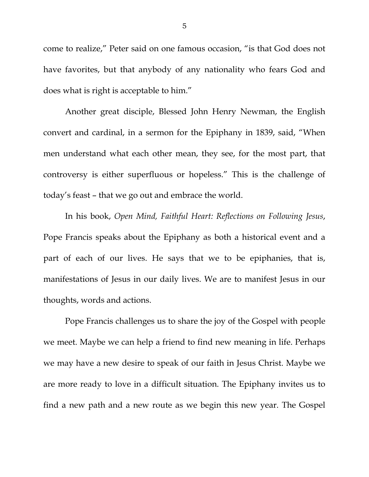come to realize," Peter said on one famous occasion, "is that God does not have favorites, but that anybody of any nationality who fears God and does what is right is acceptable to him."

Another great disciple, Blessed John Henry Newman, the English convert and cardinal, in a sermon for the Epiphany in 1839, said, "When men understand what each other mean, they see, for the most part, that controversy is either superfluous or hopeless." This is the challenge of today's feast – that we go out and embrace the world.

In his book, *Open Mind, Faithful Heart: Reflections on Following Jesus*, Pope Francis speaks about the Epiphany as both a historical event and a part of each of our lives. He says that we to be epiphanies, that is, manifestations of Jesus in our daily lives. We are to manifest Jesus in our thoughts, words and actions.

Pope Francis challenges us to share the joy of the Gospel with people we meet. Maybe we can help a friend to find new meaning in life. Perhaps we may have a new desire to speak of our faith in Jesus Christ. Maybe we are more ready to love in a difficult situation. The Epiphany invites us to find a new path and a new route as we begin this new year. The Gospel